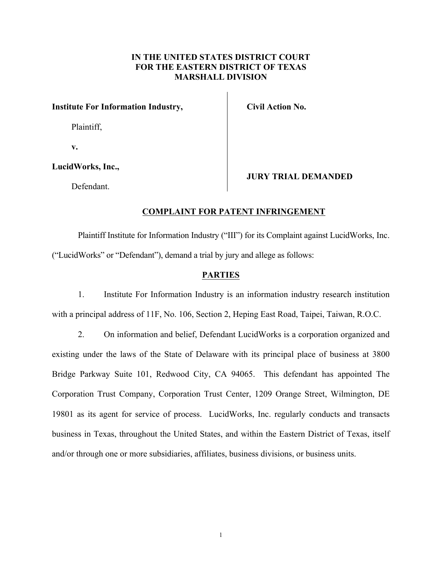## **IN THE UNITED STATES DISTRICT COURT FOR THE EASTERN DISTRICT OF TEXAS MARSHALL DIVISION**

### **Institute For Information Industry,**

Plaintiff,

**v.**

### **LucidWorks, Inc.,**

Defendant.

## **Civil Action No.**

**JURY TRIAL DEMANDED**

### **COMPLAINT FOR PATENT INFRINGEMENT**

Plaintiff Institute for Information Industry ("III") for its Complaint against LucidWorks, Inc. ("LucidWorks" or "Defendant"), demand a trial by jury and allege as follows:

### **PARTIES**

1. Institute For Information Industry is an information industry research institution with a principal address of 11F, No. 106, Section 2, Heping East Road, Taipei, Taiwan, R.O.C.

2. On information and belief, Defendant LucidWorks is a corporation organized and existing under the laws of the State of Delaware with its principal place of business at 3800 Bridge Parkway Suite 101, Redwood City, CA 94065. This defendant has appointed The Corporation Trust Company, Corporation Trust Center, 1209 Orange Street, Wilmington, DE 19801 as its agent for service of process. LucidWorks, Inc. regularly conducts and transacts business in Texas, throughout the United States, and within the Eastern District of Texas, itself and/or through one or more subsidiaries, affiliates, business divisions, or business units.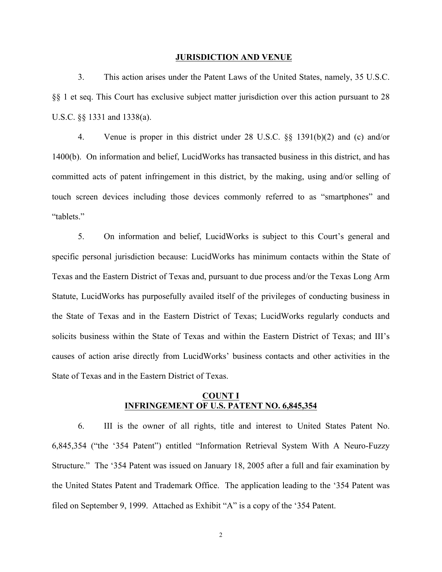#### **JURISDICTION AND VENUE**

3. This action arises under the Patent Laws of the United States, namely, 35 U.S.C. §§ 1 et seq. This Court has exclusive subject matter jurisdiction over this action pursuant to 28 U.S.C. §§ 1331 and 1338(a).

4. Venue is proper in this district under 28 U.S.C. §§ 1391(b)(2) and (c) and/or 1400(b). On information and belief, LucidWorks has transacted business in this district, and has committed acts of patent infringement in this district, by the making, using and/or selling of touch screen devices including those devices commonly referred to as "smartphones" and "tablets."

5. On information and belief, LucidWorks is subject to this Court's general and specific personal jurisdiction because: LucidWorks has minimum contacts within the State of Texas and the Eastern District of Texas and, pursuant to due process and/or the Texas Long Arm Statute, LucidWorks has purposefully availed itself of the privileges of conducting business in the State of Texas and in the Eastern District of Texas; LucidWorks regularly conducts and solicits business within the State of Texas and within the Eastern District of Texas; and III's causes of action arise directly from LucidWorks' business contacts and other activities in the State of Texas and in the Eastern District of Texas.

### **COUNT I INFRINGEMENT OF U.S. PATENT NO. 6,845,354**

6. III is the owner of all rights, title and interest to United States Patent No. 6,845,354 ("the '354 Patent") entitled "Information Retrieval System With A Neuro-Fuzzy Structure." The '354 Patent was issued on January 18, 2005 after a full and fair examination by the United States Patent and Trademark Office. The application leading to the '354 Patent was filed on September 9, 1999. Attached as Exhibit "A" is a copy of the '354 Patent.

2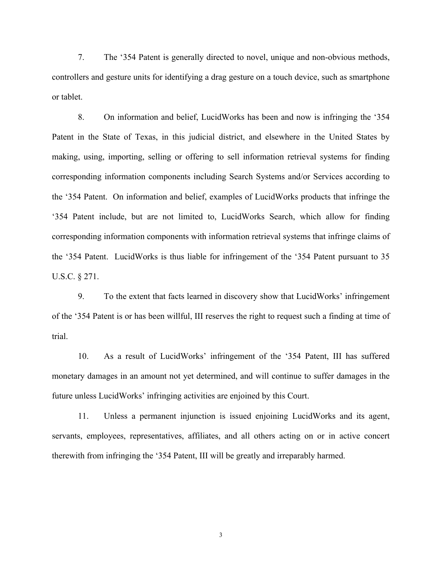7. The '354 Patent is generally directed to novel, unique and non-obvious methods, controllers and gesture units for identifying a drag gesture on a touch device, such as smartphone or tablet.

8. On information and belief, LucidWorks has been and now is infringing the '354 Patent in the State of Texas, in this judicial district, and elsewhere in the United States by making, using, importing, selling or offering to sell information retrieval systems for finding corresponding information components including Search Systems and/or Services according to the '354 Patent. On information and belief, examples of LucidWorks products that infringe the '354 Patent include, but are not limited to, LucidWorks Search, which allow for finding corresponding information components with information retrieval systems that infringe claims of the '354 Patent. LucidWorks is thus liable for infringement of the '354 Patent pursuant to 35 U.S.C. § 271.

9. To the extent that facts learned in discovery show that LucidWorks' infringement of the '354 Patent is or has been willful, III reserves the right to request such a finding at time of trial.

10. As a result of LucidWorks' infringement of the '354 Patent, III has suffered monetary damages in an amount not yet determined, and will continue to suffer damages in the future unless LucidWorks' infringing activities are enjoined by this Court.

11. Unless a permanent injunction is issued enjoining LucidWorks and its agent, servants, employees, representatives, affiliates, and all others acting on or in active concert therewith from infringing the '354 Patent, III will be greatly and irreparably harmed.

3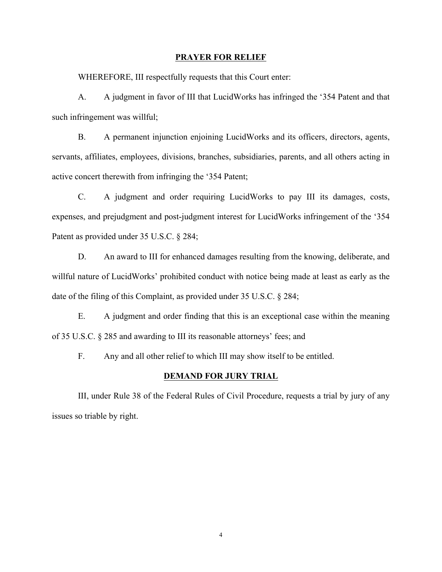#### **PRAYER FOR RELIEF**

WHEREFORE, III respectfully requests that this Court enter:

A. A judgment in favor of III that LucidWorks has infringed the '354 Patent and that such infringement was willful;

B. A permanent injunction enjoining LucidWorks and its officers, directors, agents, servants, affiliates, employees, divisions, branches, subsidiaries, parents, and all others acting in active concert therewith from infringing the '354 Patent;

C. A judgment and order requiring LucidWorks to pay III its damages, costs, expenses, and prejudgment and post-judgment interest for LucidWorks infringement of the '354 Patent as provided under 35 U.S.C. § 284;

D. An award to III for enhanced damages resulting from the knowing, deliberate, and willful nature of LucidWorks' prohibited conduct with notice being made at least as early as the date of the filing of this Complaint, as provided under 35 U.S.C. § 284;

E. A judgment and order finding that this is an exceptional case within the meaning of 35 U.S.C. § 285 and awarding to III its reasonable attorneys' fees; and

F. Any and all other relief to which III may show itself to be entitled.

### **DEMAND FOR JURY TRIAL**

III, under Rule 38 of the Federal Rules of Civil Procedure, requests a trial by jury of any issues so triable by right.

4